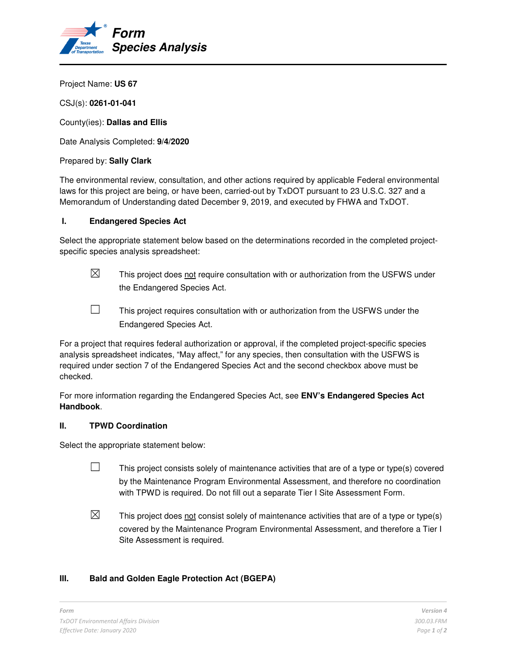

Project Name: **US 67** 

CSJ(s): **0261-01-041** 

County(ies): **Dallas and Ellis** 

Date Analysis Completed: **9/4/2020** 

#### Prepared by: **Sally Clark**

The environmental review, consultation, and other actions required by applicable Federal environmental laws for this project are being, or have been, carried-out by TxDOT pursuant to 23 U.S.C. 327 and a Memorandum of Understanding dated December 9, 2019, and executed by FHWA and TxDOT.

#### **I. Endangered Species Act**

Select the appropriate statement below based on the determinations recorded in the completed projectspecific species analysis spreadsheet:

 $\boxtimes$  This project does not require consultation with or authorization from the USFWS under the Endangered Species Act.

 $\Box$  This project requires consultation with or authorization from the USFWS under the Endangered Species Act.

For a project that requires federal authorization or approval, if the completed project-specific species analysis spreadsheet indicates, "May affect," for any species, then consultation with the USFWS is required under section 7 of the Endangered Species Act and the second checkbox above must be checked.

For more information regarding the Endangered Species Act, see **ENV's Endangered Species Act Handbook**.

## **II. TPWD Coordination**

Select the appropriate statement below:

- $\Box$  This project consists solely of maintenance activities that are of a type or type(s) covered by the Maintenance Program Environmental Assessment, and therefore no coordination with TPWD is required. Do not fill out a separate Tier I Site Assessment Form.
- $\boxtimes$  This project does not consist solely of maintenance activities that are of a type or type(s) covered by the Maintenance Program Environmental Assessment, and therefore a Tier I Site Assessment is required.

## **III. Bald and Golden Eagle Protection Act (BGEPA)**